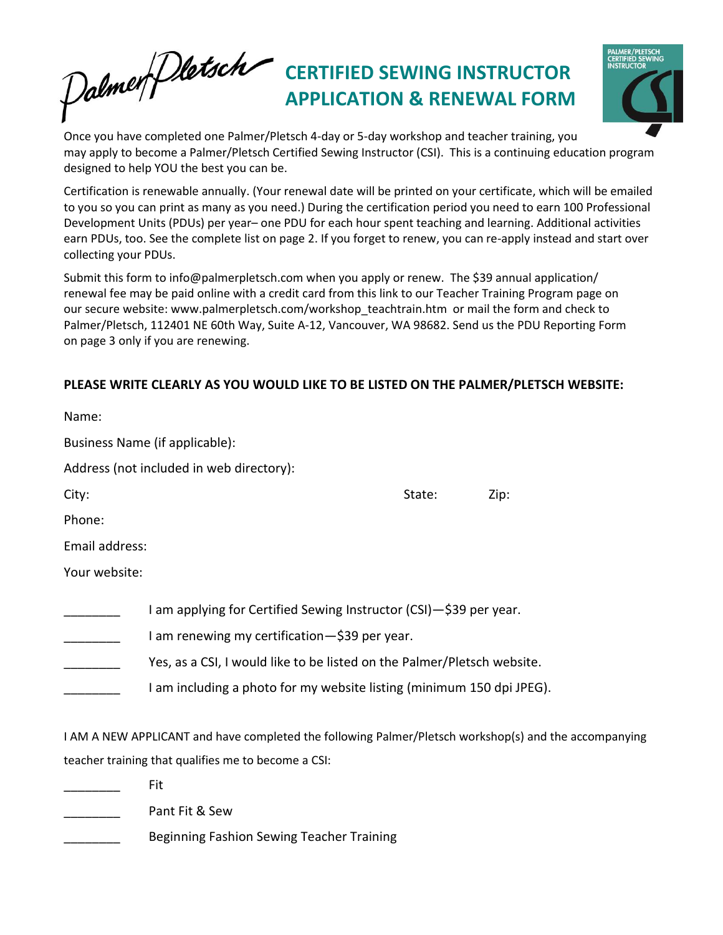## Palmer Dletsch **CERTIFIED SEWING INSTRUCTOR APPLICATION & RENEWAL FORM**



Once you have completed one Palmer/Pletsch 4-day or 5-day workshop and teacher training, you may apply to become a Palmer/Pletsch Certified Sewing Instructor (CSI). This is a continuing education program designed to help YOU the best you can be.

Certification is renewable annually. (Your renewal date will be printed on your certificate, which will be emailed to you so you can print as many as you need.) During the certification period you need to earn 100 Professional Development Units (PDUs) per year– one PDU for each hour spent teaching and learning. Additional activities earn PDUs, too. See the complete list on page 2. If you forget to renew, you can re-apply instead and start over collecting your PDUs.

Submit this form to [info@palmerpletsch.com](mailto:pati@palmerpletsch.com) when you apply or renew. The \$39 annual application/ renewal fee may be paid online with a credit card from this link to our Teacher Training Program page on our sec[ure website: www.palmerpletsch.com/workshop\\_teachtrain.](http://www.palmerpletsch.com/workshop_teachtrain.htm)htm or mail the form and check to Palmer/Pletsch, 112401 NE 60th Way, Suite A-12, Vancouver, WA 98682. Send us the PDU Reporting Form on page 3 only if you are renewing.

### **PLEASE WRITE CLEARLY AS YOU WOULD LIKE TO BE LISTED ON THE PALMER/PLETSCH WEBSITE:**

|                | Business Name (if applicable):                                                                                                                                                                                                                                          |        |      |
|----------------|-------------------------------------------------------------------------------------------------------------------------------------------------------------------------------------------------------------------------------------------------------------------------|--------|------|
|                | Address (not included in web directory):                                                                                                                                                                                                                                |        |      |
| City:          |                                                                                                                                                                                                                                                                         | State: | Zip: |
| Phone:         |                                                                                                                                                                                                                                                                         |        |      |
| Email address: |                                                                                                                                                                                                                                                                         |        |      |
| Your website:  |                                                                                                                                                                                                                                                                         |        |      |
|                | I am applying for Certified Sewing Instructor (CSI)-\$39 per year.<br>I am renewing my certification-\$39 per year.<br>Yes, as a CSI, I would like to be listed on the Palmer/Pletsch website.<br>I am including a photo for my website listing (minimum 150 dpi JPEG). |        |      |
|                | I AM A NEW APPLICANT and have completed the following Palmer/Pletsch workshop(s) and the accompanying                                                                                                                                                                   |        |      |
|                | teacher training that qualifies me to become a CSI:                                                                                                                                                                                                                     |        |      |
|                | Fit                                                                                                                                                                                                                                                                     |        |      |
|                | Pant Fit & Sew                                                                                                                                                                                                                                                          |        |      |

Beginning Fashion Sewing Teacher Training

Name: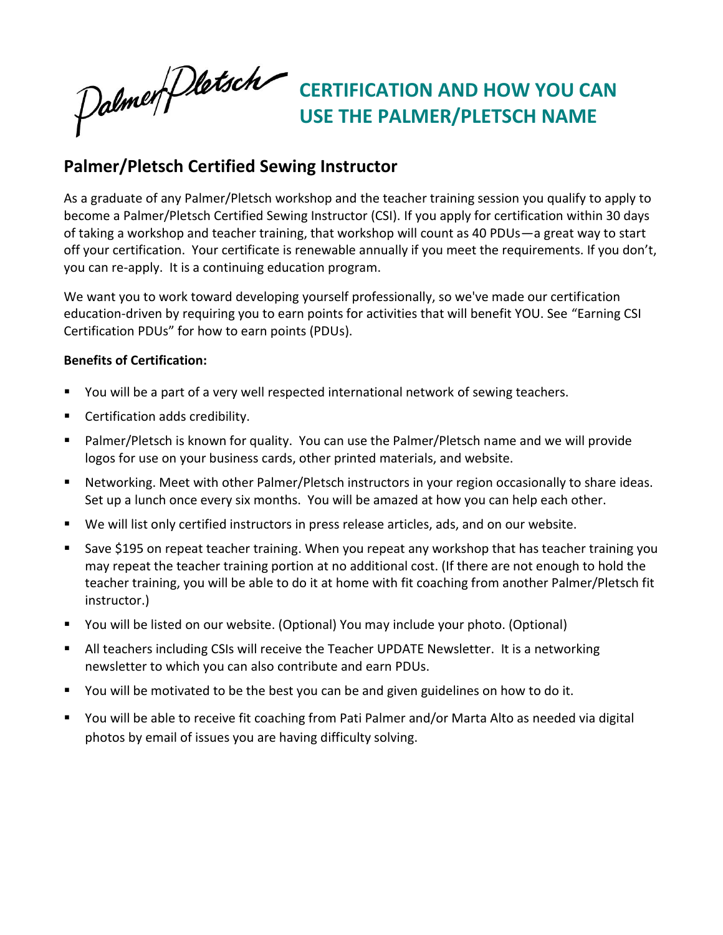Palmer Dletsch

**CERTIFICATION AND HOW YOU CAN USE THE PALMER/PLETSCH NAME** 

## **Palmer/Pletsch Certified Sewing Instructor**

As a graduate of any Palmer/Pletsch workshop and the teacher training session you qualify to apply to become a Palmer/Pletsch Certified Sewing Instructor (CSI). If you apply for certification within 30 days of taking a workshop and teacher training, that workshop will count as 40 PDUs—a great way to start off your certification. Your certificate is renewable annually if you meet the requirements. If you don't, you can re-apply. It is a continuing education program.

We want you to work toward developing yourself professionally, so we've made our certification education-driven by requiring you to earn points for activities that will benefit YOU. See "Earning CSI Certification PDUs" for how to earn points (PDUs).

### **Benefits of Certification:**

- You will be a part of a very well respected international network of sewing teachers.
- Certification adds credibility.
- Palmer/Pletsch is known for quality. You can use the Palmer/Pletsch name and we will provide logos for use on your business cards, other printed materials, and website.
- Networking. Meet with other Palmer/Pletsch instructors in your region occasionally to share ideas. Set up a lunch once every six months. You will be amazed at how you can help each other.
- We will list only certified instructors in press release articles, ads, and on our website.
- Save \$195 on repeat teacher training. When you repeat any workshop that has teacher training you may repeat the teacher training portion at no additional cost. (If there are not enough to hold the teacher training, you will be able to do it at home with fit coaching from another Palmer/Pletsch fit instructor.)
- You will be listed on our website. (Optional) You may include your photo. (Optional)
- All teachers including CSIs will receive the Teacher UPDATE Newsletter. It is a networking newsletter to which you can also contribute and earn PDUs.
- You will be motivated to be the best you can be and given guidelines on how to do it.
- You will be able to receive fit coaching from Pati Palmer and/or Marta Alto as needed via digital photos by email of issues you are having difficulty solving.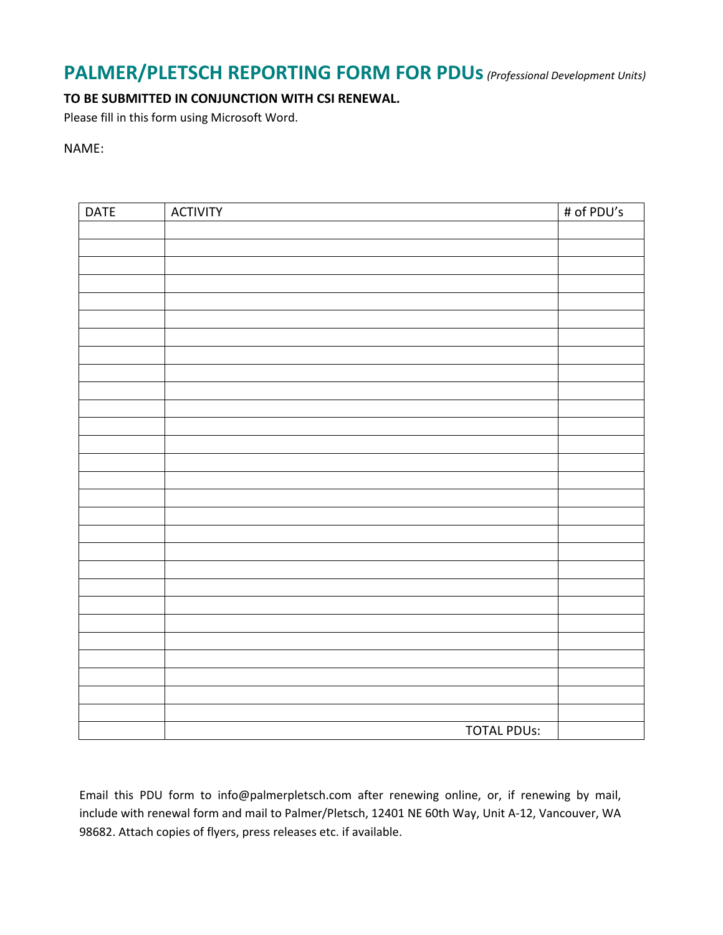## **PALMER/PLETSCH REPORTING FORM FOR PDUs***(Professional Development Units)*

### **TO BE SUBMITTED IN CONJUNCTION WITH CSI RENEWAL.**

Please fill in this form using Microsoft Word.

#### NAME:

| <b>DATE</b> | <b>ACTIVITY</b>    | # of PDU's |
|-------------|--------------------|------------|
|             |                    |            |
|             |                    |            |
|             |                    |            |
|             |                    |            |
|             |                    |            |
|             |                    |            |
|             |                    |            |
|             |                    |            |
|             |                    |            |
|             |                    |            |
|             |                    |            |
|             |                    |            |
|             |                    |            |
|             |                    |            |
|             |                    |            |
|             |                    |            |
|             |                    |            |
|             |                    |            |
|             |                    |            |
|             |                    |            |
|             |                    |            |
|             |                    |            |
|             |                    |            |
|             |                    |            |
|             |                    |            |
|             |                    |            |
|             |                    |            |
|             |                    |            |
|             | <b>TOTAL PDUs:</b> |            |

Email this PDU form [to info@palmerpletsch.co](mailto:pati@palmerpletsch.com)m after renewing online, or, if renewing by mail, include with renewal form and mail to Palmer/Pletsch, 12401 NE 60th Way, Unit A-12, Vancouver, WA 98682. Attach copies of flyers, press releases etc. if available.